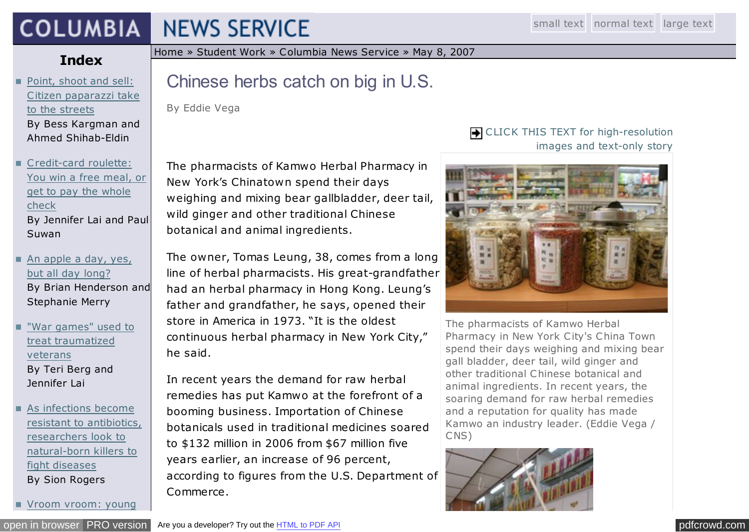### **COLUMBIA NEWS SERVICE**

## **Index**

- **Point, shoot and sell:** [Citizen paparazzi take](http://jscms.jrn.columbia.edu/cns/2007-05-08/Kargman-etc-Waparazzi.html) to the streets By Bess Kargman and Ahmed Shihab-Eldin
- Credit-card roulette: [You win a free meal, or](http://jscms.jrn.columbia.edu/cns/2007-05-08/lai-suwan-creditcardroulette.html) get to pay the whole check By Jennifer Lai and Paul Suwan
- [An apple a day, yes,](http://jscms.jrn.columbia.edu/cns/2007-05-08/henderson-merry-frugivores.html) but all day long? By Brian Henderson and Stephanie Merry
- ["War games" used to](http://jscms.jrn.columbia.edu/cns/2007-05-08/berg-lai-wargametherapy.html) treat traumatized veterans By Teri Berg and Jennifer Lai
- As infections become [resistant to antibiotics,](http://jscms.jrn.columbia.edu/cns/2007-05-08/rogers-phagetherapy.html) researchers look to natural-born killers to fight diseases By Sion Rogers

[Vroom vroom: young](http://jscms.jrn.columbia.edu/cns/2007-05-08/Kaufman-ladyracers.html)

[Home](http://www.jrn.columbia.edu/) » [Student Work](http://www.jrn.columbia.edu/studentwork/) » [Columbia News Service](http://jscms.jrn.columbia.edu/cns/2009-04-28.html) » [May 8, 2007](http://jscms.jrn.columbia.edu/cns/2007-05-08.html)

# Chinese herbs catch on big in U.S.

By Eddie Vega

The pharmacists of Kamwo Herbal Pharmacy in New York's Chinatown spend their days weighing and mixing bear gallbladder, deer tail, wild ginger and other traditional Chinese botanical and animal ingredients.

The owner, Tomas Leung, 38, comes from a long line of herbal pharmacists. His great-grandfather had an herbal pharmacy in Hong Kong. Leung's father and grandfather, he says, opened their store in America in 1973. "It is the oldest continuous herbal pharmacy in New York City," he said.

In recent years the demand for raw herbal remedies has put Kamwo at the forefront of a booming business. Importation of Chinese botanicals used in traditional medicines soared to \$132 million in 2006 from \$67 million five years earlier, an increase of 96 percent, according to figures from the U.S. Department of Commerce.

### CLICK THIS TEXT for high-resolution images and text-only story



The pharmacists of Kamwo Herbal Pharmacy in New York City's China Town spend their days weighing and mixing bear gall bladder, deer tail, wild ginger and other traditional Chinese botanical and animal ingredients. In recent years, the soaring demand for raw herbal remedies and a reputation for quality has made Kamwo an industry leader. (Eddie Vega / CNS)

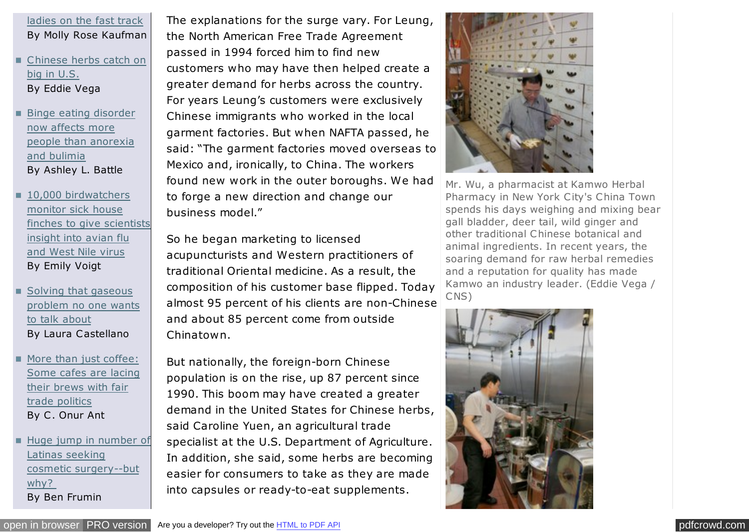#### [ladies on the fast track](http://jscms.jrn.columbia.edu/cns/2007-05-08/Kaufman-ladyracers.html) By Molly Rose Kaufman

■ [Chinese herbs catch on](http://jscms.jrn.columbia.edu/cns/2007-05-08/vega-chineseherbs.html) big in U.S. By Eddie Vega

- [Binge eating disorder](http://jscms.jrn.columbia.edu/cns/2007-05-08/battle-bingeeating.html) now affects more people than anorexia and bulimia By Ashley L. Battle
- 10,000 birdwatchers monitor sick house [finches to give scientists](http://jscms.jrn.columbia.edu/cns/2007-05-08/voight-sickfinches.html) insight into avian flu and West Nile virus By Emily Voigt
- Solving that gaseous [problem no one wants](http://jscms.jrn.columbia.edu/cns/2007-05-08/Castellano-flatulencefilter.html) to talk about By Laura Castellano
- More than just coffee: [Some cafes are lacing](http://jscms.jrn.columbia.edu/cns/2007-05-08/ant-fairtrade.html) their brews with fair trade politics By C. Onur Ant
- [Huge jump in number of](http://jscms.jrn.columbia.edu/cns/2007-05-08/Frumin-plasticsurgery.html) Latinas seeking cosmetic surgery--but why? By Ben Frumin

The explanations for the surge vary. For Leung, the North American Free Trade Agreement passed in 1994 forced him to find new customers who may have then helped create a greater demand for herbs across the country. For years Leung's customers were exclusively Chinese immigrants who worked in the local garment factories. But when NAFTA passed, he said: "The garment factories moved overseas to Mexico and, ironically, to China. The workers found new work in the outer boroughs. We had to forge a new direction and change our business model."

So he began marketing to licensed acupuncturists and Western practitioners of traditional Oriental medicine. As a result, the composition of his customer base flipped. Today almost 95 percent of his clients are non-Chinese and about 85 percent come from outside Chinatown.

But nationally, the foreign-born Chinese population is on the rise, up 87 percent since 1990. This boom may have created a greater demand in the United States for Chinese herbs, said Caroline Yuen, an agricultural trade specialist at the U.S. Department of Agriculture. In addition, she said, some herbs are becoming easier for consumers to take as they are made into capsules or ready-to-eat supplements.



Mr. Wu, a pharmacist at Kamwo Herbal Pharmacy in New York City's China Town spends his days weighing and mixing bear gall bladder, deer tail, wild ginger and other traditional Chinese botanical and animal ingredients. In recent years, the soaring demand for raw herbal remedies and a reputation for quality has made Kamwo an industry leader. (Eddie Vega / CNS)

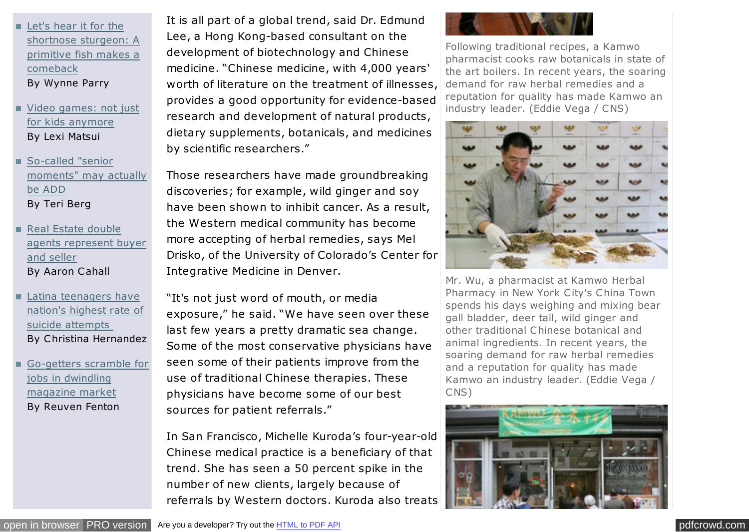Let's hear it for the shortnose sturgeon: A [primitive fish makes a](http://jscms.jrn.columbia.edu/cns/2007-05-08/Parry-sturgeon.html) comeback By Wynne Parry

[Video games: not just](http://jscms.jrn.columbia.edu/cns/2007-05-08/matsui-videoseniors.html) for kids anymore By Lexi Matsui

So-called "senior [moments" may actually](http://jscms.jrn.columbia.edu/cns/2007-05-08/Berg-seniormoments.html) be ADD By Teri Berg

Real Estate double [agents represent buyer](http://jscms.jrn.columbia.edu/cns/2007-05-08/cahall-doubleagents.html) and seller By Aaron Cahall

Latina teenagers have [nation's highest rate of](http://jscms.jrn.columbia.edu/cns/2007-05-08/hernandez-Latinasuicide.html) suicide attempts By Christina Hernandez

[Go-getters scramble for](http://jscms.jrn.columbia.edu/cns/2007-05-08/fenton-magazinejobs.html) jobs in dwindling magazine market By Reuven Fenton

It is all part of a global trend, said Dr. Edmund Lee, a Hong Kong-based consultant on the development of biotechnology and Chinese medicine. "Chinese medicine, with 4,000 years' worth of literature on the treatment of illnesses, provides a good opportunity for evidence-based research and development of natural products, dietary supplements, botanicals, and medicines by scientific researchers."

Those researchers have made groundbreaking discoveries; for example, wild ginger and soy have been shown to inhibit cancer. As a result, the Western medical community has become more accepting of herbal remedies, says Mel Drisko, of the University of Colorado's Center for Integrative Medicine in Denver.

"It's not just word of mouth, or media exposure," he said. "We have seen over these last few years a pretty dramatic sea change. Some of the most conservative physicians have seen some of their patients improve from the use of traditional Chinese therapies. These physicians have become some of our best sources for patient referrals."

In San Francisco, Michelle Kuroda's four-year-old Chinese medical practice is a beneficiary of that trend. She has seen a 50 percent spike in the number of new clients, largely because of referrals by Western doctors. Kuroda also treats



Following traditional recipes, a Kamwo pharmacist cooks raw botanicals in state of the art boilers. In recent years, the soaring demand for raw herbal remedies and a reputation for quality has made Kamwo an industry leader. (Eddie Vega / CNS)



Mr. Wu, a pharmacist at Kamwo Herbal Pharmacy in New York City's China Town spends his days weighing and mixing bear gall bladder, deer tail, wild ginger and other traditional Chinese botanical and animal ingredients. In recent years, the soaring demand for raw herbal remedies and a reputation for quality has made Kamwo an industry leader. (Eddie Vega / CNS)

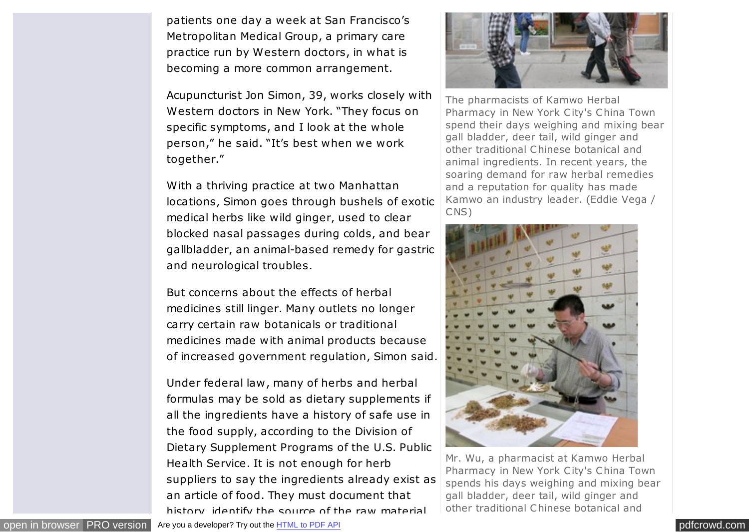patients one day a week at San Francisco's Metropolitan Medical Group, a primary care practice run by Western doctors, in what is becoming a more common arrangement.

Acupuncturist Jon Simon, 39, works closely with Western doctors in New York. "They focus on specific symptoms, and I look at the whole person," he said. "It's best when we work together."

With a thriving practice at two Manhattan locations, Simon goes through bushels of exotic medical herbs like wild ginger, used to clear blocked nasal passages during colds, and bear gallbladder, an animal-based remedy for gastric and neurological troubles.

But concerns about the effects of herbal medicines still linger. Many outlets no longer carry certain raw botanicals or traditional medicines made with animal products because of increased government regulation, Simon said.

Under federal law , many of herbs and herbal formulas may be sold as dietary supplements if all the ingredients have a history of safe use in the food supply, according to the Division of Dietary Supplement Programs of the U.S. Public Health Service. It is not enough for herb suppliers to say the ingredients already exist as an article of food. They must document that history, identify the source of the raw material



The pharmacists of Kamwo Herbal Pharmacy in New York City's China Town spend their days weighing and mixing bear gall bladder, deer tail, wild ginger and other traditional Chinese botanical and animal ingredients. In recent years, the soaring demand for raw herbal remedies and a reputation for quality has made Kamwo an industry leader. (Eddie Vega / CNS)



Mr. Wu, a pharmacist at Kamwo Herbal Pharmacy in New York City's China Town spends his days weighing and mixing bear gall bladder, deer tail, wild ginger and other traditional Chinese botanical and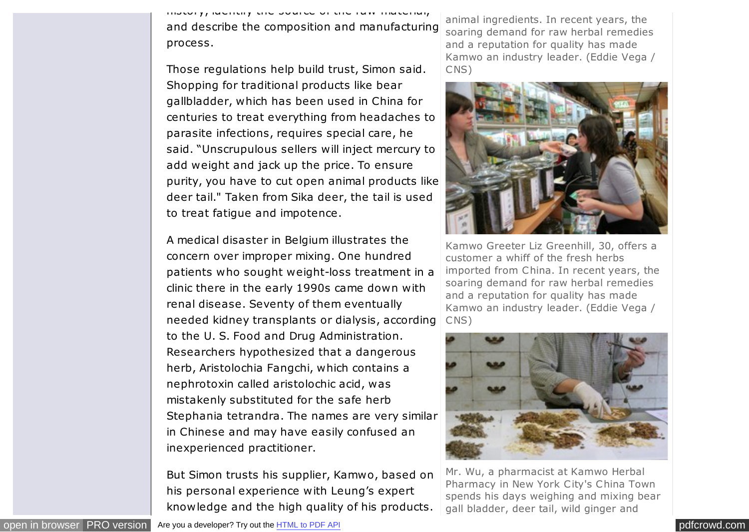history, identify the source of the raw material, and describe the composition and manufacturing process.

Those regulations help build trust, Simon said. Shopping for traditional products like bear gallbladder, which has been used in China for centuries to treat everything from headaches to parasite infections, requires special care, he said. "Unscrupulous sellers will inject mercury to add weight and jack up the price. To ensure purity, you have to cut open animal products like deer tail." Taken from Sika deer, the tail is used to treat fatigue and impotence.

A medical disaster in Belgium illustrates the concern over improper mixing. One hundred patients who sought weight-loss treatment in a clinic there in the early 1990s came down with renal disease. Seventy of them eventually needed kidney transplants or dialysis, according to the U. S. Food and Drug Administration. Researchers hypothesized that a dangerous herb, Aristolochia Fangchi, which contains a nephrotoxin called aristolochic acid, was mistakenly substituted for the safe herb Stephania tetrandra. The names are very similar in Chinese and may have easily confused an inexperienced practitioner.

But Simon trusts his supplier, Kamwo, based on his personal experience with Leung's expert knowledge and the high quality of his products.

animal ingredients. In recent years, the soaring demand for raw herbal remedies and a reputation for quality has made Kamwo an industry leader. (Eddie Vega / CNS)



Kamwo Greeter Liz Greenhill, 30, offers a customer a whiff of the fresh herbs imported from China. In recent years, the soaring demand for raw herbal remedies and a reputation for quality has made Kamwo an industry leader. (Eddie Vega / CNS)



Mr. Wu, a pharmacist at Kamwo Herbal Pharmacy in New York City's China Town spends his days weighing and mixing bear gall bladder, deer tail, wild ginger and